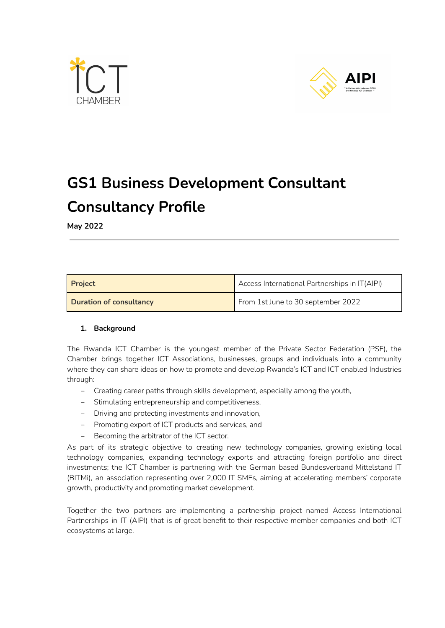



# **GS1 Business Development Consultant Consultancy Profile**

**May 2022**

| <b>Project</b>                 | Access International Partnerships in IT(AIPI) |
|--------------------------------|-----------------------------------------------|
| <b>Duration of consultancy</b> | From 1st June to 30 september 2022            |

## **1. Background**

The Rwanda ICT Chamber is the youngest member of the Private Sector Federation (PSF), the Chamber brings together ICT Associations, businesses, groups and individuals into a community where they can share ideas on how to promote and develop Rwanda's ICT and ICT enabled Industries through:

- Creating career paths through skills development, especially among the youth,
- ‒ Stimulating entrepreneurship and competitiveness,
- ‒ Driving and protecting investments and innovation,
- ‒ Promoting export of ICT products and services, and
- Becoming the arbitrator of the ICT sector.

As part of its strategic objective to creating new technology companies, growing existing local technology companies, expanding technology exports and attracting foreign portfolio and direct investments; the ICT Chamber is partnering with the German based Bundesverband Mittelstand IT (BITMi), an association representing over 2,000 IT SMEs, aiming at accelerating members' corporate growth, productivity and promoting market development.

Together the two partners are implementing a partnership project named Access International Partnerships in IT (AIPI) that is of great benefit to their respective member companies and both ICT ecosystems at large.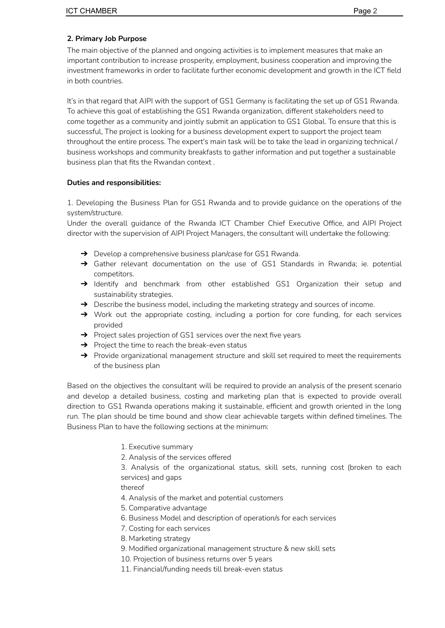## **2. Primary Job Purpose**

The main objective of the planned and ongoing activities is to implement measures that make an important contribution to increase prosperity, employment, business cooperation and improving the investment frameworks in order to facilitate further economic development and growth in the ICT field in both countries.

It's in that regard that AIPI with the support of GS1 Germany is facilitating the set up of GS1 Rwanda. To achieve this goal of establishing the GS1 Rwanda organization, different stakeholders need to come together as a community and jointly submit an application to GS1 Global. To ensure that this is successful, The project is looking for a business development expert to support the project team throughout the entire process. The expert's main task will be to take the lead in organizing technical / business workshops and community breakfasts to gather information and put together a sustainable business plan that fits the Rwandan context .

## **Duties and responsibilities:**

1. Developing the Business Plan for GS1 Rwanda and to provide guidance on the operations of the system/structure.

Under the overall guidance of the Rwanda ICT Chamber Chief Executive Office, and AIPI Project director with the supervision of AIPI Project Managers, the consultant will undertake the following:

- ➔ Develop a comprehensive business plan/case for GS1 Rwanda.
- → Gather relevant documentation on the use of GS1 Standards in Rwanda; ie. potential competitors.
- → Identify and benchmark from other established GS1 Organization their setup and sustainability strategies.
- → Describe the business model, including the marketing strategy and sources of income.
- → Work out the appropriate costing, including a portion for core funding, for each services provided
- → Project sales projection of GS1 services over the next five years
- $\rightarrow$  Project the time to reach the break-even status
- → Provide organizational management structure and skill set required to meet the requirements of the business plan

Based on the objectives the consultant will be required to provide an analysis of the present scenario and develop a detailed business, costing and marketing plan that is expected to provide overall direction to GS1 Rwanda operations making it sustainable, efficient and growth oriented in the long run. The plan should be time bound and show clear achievable targets within defined timelines. The Business Plan to have the following sections at the minimum:

- 1. Executive summary
- 2. Analysis of the services offered

3. Analysis of the organizational status, skill sets, running cost (broken to each services) and gaps

thereof

- 4. Analysis of the market and potential customers
- 5. Comparative advantage
- 6. Business Model and description of operation/s for each services
- 7. Costing for each services
- 8. Marketing strategy
- 9. Modified organizational management structure & new skill sets
- 10. Projection of business returns over 5 years
- 11. Financial/funding needs till break-even status